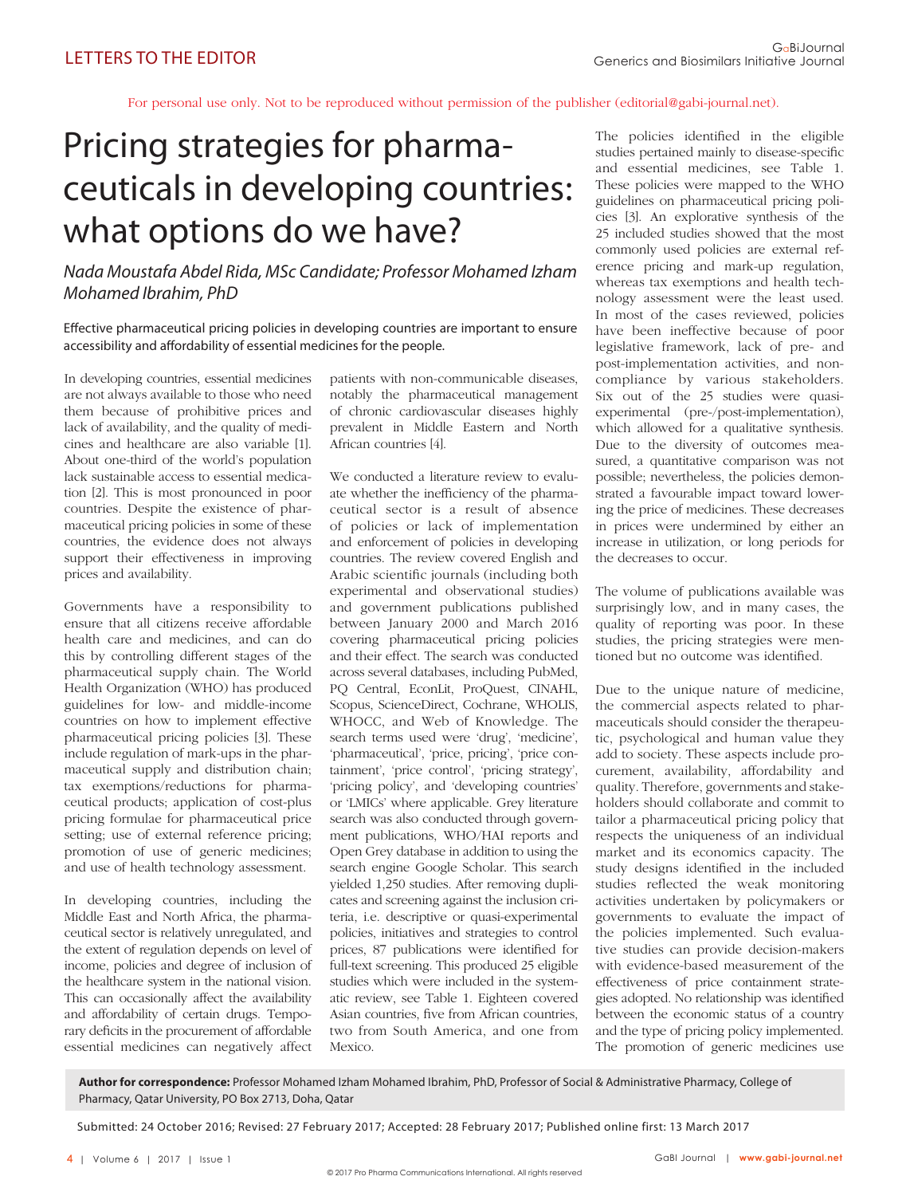For personal use only. Not to be reproduced without permission of the publisher (editorial@gabi-journal.net).

## Pricing strategies for pharmaceuticals in developing countries: what options do we have?

Nada Moustafa Abdel Rida, MSc Candidate; Professor Mohamed Izham Mohamed Ibrahim, PhD

Effective pharmaceutical pricing policies in developing countries are important to ensure accessibility and affordability of essential medicines for the people.

In developing countries, essential medicines are not always available to those who need them because of prohibitive prices and lack of availability, and the quality of medicines and healthcare are also variable [1]. About one-third of the world's population lack sustainable access to essential medication [2]. This is most pronounced in poor countries. Despite the existence of pharmaceutical pricing policies in some of these countries, the evidence does not always support their effectiveness in improving prices and availability.

Governments have a responsibility to ensure that all citizens receive affordable health care and medicines, and can do this by controlling different stages of the pharmaceutical supply chain. The World Health Organization (WHO) has produced guidelines for low- and middle-income countries on how to implement effective pharmaceutical pricing policies [3]. These include regulation of mark-ups in the pharmaceutical supply and distribution chain; tax exemptions/reductions for pharmaceutical products; application of cost-plus pricing formulae for pharmaceutical price setting; use of external reference pricing; promotion of use of generic medicines; and use of health technology assessment.

In developing countries, including the Middle East and North Africa, the pharmaceutical sector is relatively unregulated, and the extent of regulation depends on level of income, policies and degree of inclusion of the healthcare system in the national vision. This can occasionally affect the availability and affordability of certain drugs. Temporary deficits in the procurement of affordable essential medicines can negatively affect

patients with non-communicable diseases, notably the pharmaceutical mana gement of chronic cardiovascular diseases highly prevalent in Middle Eastern and North African countries [4].

We conducted a literature review to evaluate whether the inefficiency of the pharmaceutical sector is a result of absence of policies or lack of implementation and enforcement of policies in developing countries. The review covered English and Arabic scientific journals (including both experimental and observational studies) and government publications published between January 2000 and March 2016 covering pharmaceutical pricing policies and their effect. The search was conducted across several databases, including PubMed, PQ Central, EconLit, ProQuest, CINAHL, Scopus, ScienceDirect, Cochrane, WHOLIS, WHOCC, and Web of Knowledge. The search terms used were 'drug', 'medicine', 'pharmaceutical', 'price, pricing', 'price containment', 'price control', 'pricing strategy', 'pricing policy', and 'developing countries' or 'LMICs' where applicable. Grey literature search was also conducted through government publications, WHO/HAI reports and Open Grey database in addition to using the search engine Google Scholar. This search yielded 1,250 studies. After removing duplicates and screening against the inclusion criteria, i.e. descriptive or quasi-experimental policies, initiatives and strategies to control prices, 87 publications were identified for full-text screening. This produced 25 eligible studies which were included in the systematic review, see Table 1. Eighteen covered Asian countries, five from African countries, two from South America, and one from **Mexico**.

The policies identified in the eligible studies pertained mainly to disease-specific and essential medicines, see Table 1. These policies were mapped to the WHO guidelines on pharmaceutical pricing policies [3]. An explorative synthesis of the 25 included studies showed that the most commonly used policies are external reference pricing and mark-up regulation, whereas tax exemptions and health technology assessment were the least used. In most of the cases reviewed, policies have been ineffective because of poor legislative framework, lack of pre- and post-implementation activities, and noncompliance by various stakeholders. Six out of the 25 studies were quasiexperimental (pre-/post-implementation), which allowed for a qualitative synthesis. Due to the diversity of outcomes measured, a quantitative comparison was not possible; nevertheless, the policies demonstrated a favourable impact toward lowering the price of medicines. These decreases in prices were undermined by either an increase in utilization, or long periods for the decreases to occur.

The volume of publications available was surprisingly low, and in many cases, the quality of reporting was poor. In these studies, the pricing strategies were mentioned but no outcome was identified.

Due to the unique nature of medicine, the commercial aspects related to pharmaceuticals should consider the therapeutic, psychological and human value they add to society. These aspects include procurement, availability, affordability and quality. Therefore, governments and stakeholders should collaborate and commit to tailor a pharmaceutical pricing policy that respects the uniqueness of an individual market and its economics capacity. The study designs identified in the included studies reflected the weak monitoring activities undertaken by policymakers or governments to evaluate the impact of the policies implemented. Such evaluative studies can provide decision-makers with evidence-based measurement of the effectiveness of price containment strategies adopted. No relationship was identified between the economic status of a country and the type of pricing policy implemented. The promotion of generic medicines use

**Author for correspondence:** Professor Mohamed Izham Mohamed Ibrahim, PhD, Professor of Social & Administrative Pharmacy, College of Pharmacy, Qatar University, PO Box 2713, Doha, Qatar

Submitted: 24 October 2016; Revised: 27 February 2017; Accepted: 28 February 2017; Published online first: 13 March 2017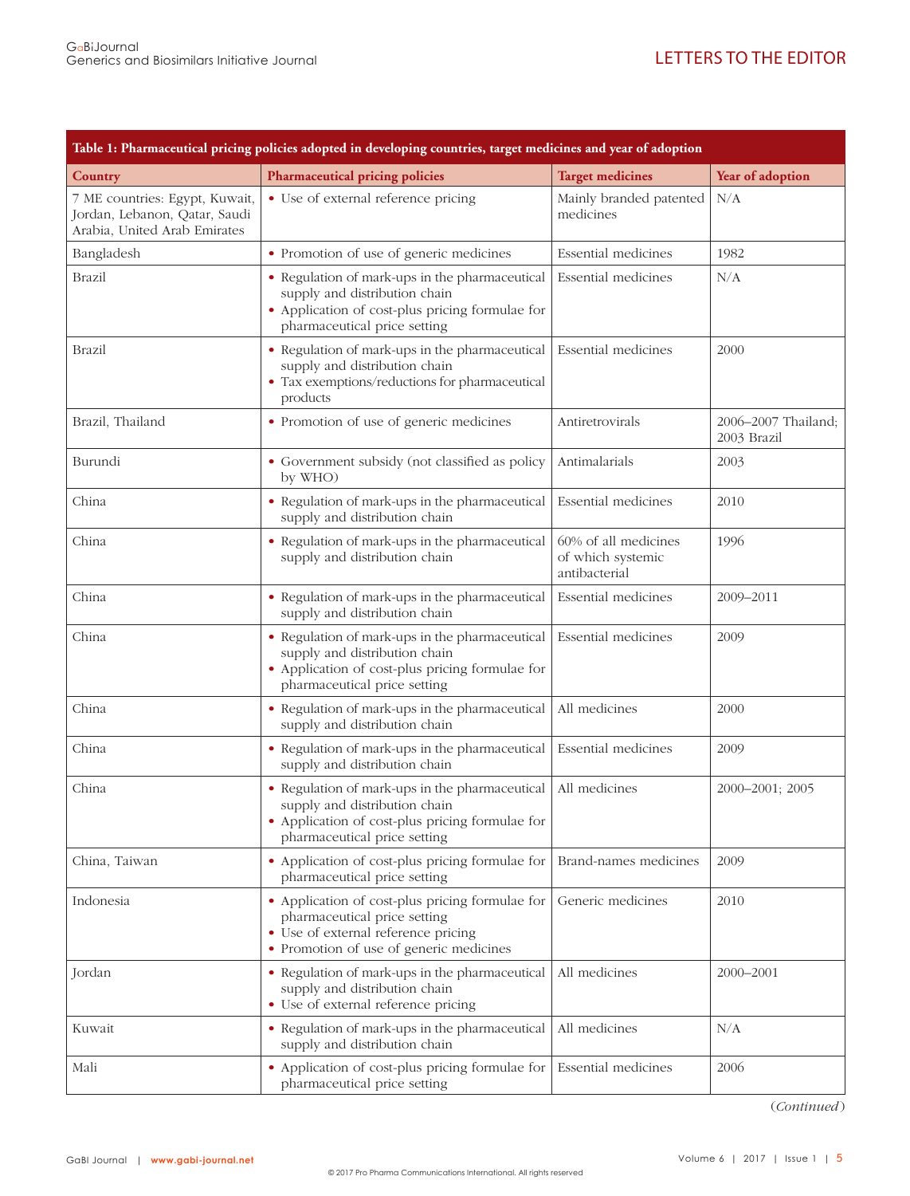| Table 1: Pharmaceutical pricing policies adopted in developing countries, target medicines and year of adoption |                                                                                                                                                                    |                                                            |                                    |  |
|-----------------------------------------------------------------------------------------------------------------|--------------------------------------------------------------------------------------------------------------------------------------------------------------------|------------------------------------------------------------|------------------------------------|--|
| <b>Country</b>                                                                                                  | <b>Pharmaceutical pricing policies</b>                                                                                                                             | <b>Target medicines</b>                                    | Year of adoption                   |  |
| 7 ME countries: Egypt, Kuwait,<br>Jordan, Lebanon, Qatar, Saudi<br>Arabia, United Arab Emirates                 | • Use of external reference pricing                                                                                                                                | Mainly branded patented<br>medicines                       | N/A                                |  |
| Bangladesh                                                                                                      | • Promotion of use of generic medicines                                                                                                                            | Essential medicines                                        | 1982                               |  |
| Brazil                                                                                                          | • Regulation of mark-ups in the pharmaceutical<br>supply and distribution chain<br>• Application of cost-plus pricing formulae for<br>pharmaceutical price setting | <b>Essential</b> medicines                                 | N/A                                |  |
| Brazil                                                                                                          | • Regulation of mark-ups in the pharmaceutical<br>supply and distribution chain<br>• Tax exemptions/reductions for pharmaceutical<br>products                      | Essential medicines                                        | 2000                               |  |
| Brazil, Thailand                                                                                                | • Promotion of use of generic medicines                                                                                                                            | Antiretrovirals                                            | 2006-2007 Thailand;<br>2003 Brazil |  |
| Burundi                                                                                                         | • Government subsidy (not classified as policy<br>by WHO)                                                                                                          | Antimalarials                                              | 2003                               |  |
| China                                                                                                           | • Regulation of mark-ups in the pharmaceutical<br>supply and distribution chain                                                                                    | <b>Essential</b> medicines                                 | 2010                               |  |
| China                                                                                                           | • Regulation of mark-ups in the pharmaceutical<br>supply and distribution chain                                                                                    | 60% of all medicines<br>of which systemic<br>antibacterial | 1996                               |  |
| China                                                                                                           | • Regulation of mark-ups in the pharmaceutical<br>supply and distribution chain                                                                                    | Essential medicines                                        | 2009-2011                          |  |
| China                                                                                                           | • Regulation of mark-ups in the pharmaceutical<br>supply and distribution chain<br>• Application of cost-plus pricing formulae for<br>pharmaceutical price setting | Essential medicines                                        | 2009                               |  |
| China                                                                                                           | • Regulation of mark-ups in the pharmaceutical<br>supply and distribution chain                                                                                    | All medicines                                              | 2000                               |  |
| China                                                                                                           | • Regulation of mark-ups in the pharmaceutical<br>supply and distribution chain                                                                                    | <b>Essential</b> medicines                                 | 2009                               |  |
| China                                                                                                           | • Regulation of mark-ups in the pharmaceutical<br>supply and distribution chain<br>• Application of cost-plus pricing formulae for<br>pharmaceutical price setting | All medicines                                              | 2000-2001; 2005                    |  |
| China, Taiwan                                                                                                   | • Application of cost-plus pricing formulae for<br>pharmaceutical price setting                                                                                    | Brand-names medicines                                      | 2009                               |  |
| Indonesia                                                                                                       | • Application of cost-plus pricing formulae for<br>pharmaceutical price setting<br>• Use of external reference pricing<br>• Promotion of use of generic medicines  | Generic medicines                                          | 2010                               |  |
| Jordan                                                                                                          | • Regulation of mark-ups in the pharmaceutical<br>supply and distribution chain<br>• Use of external reference pricing                                             | All medicines                                              | 2000-2001                          |  |
| Kuwait                                                                                                          | • Regulation of mark-ups in the pharmaceutical<br>supply and distribution chain                                                                                    | All medicines                                              | N/A                                |  |
| Mali                                                                                                            | • Application of cost-plus pricing formulae for<br>pharmaceutical price setting                                                                                    | Essential medicines                                        | 2006                               |  |

(*Continued* )